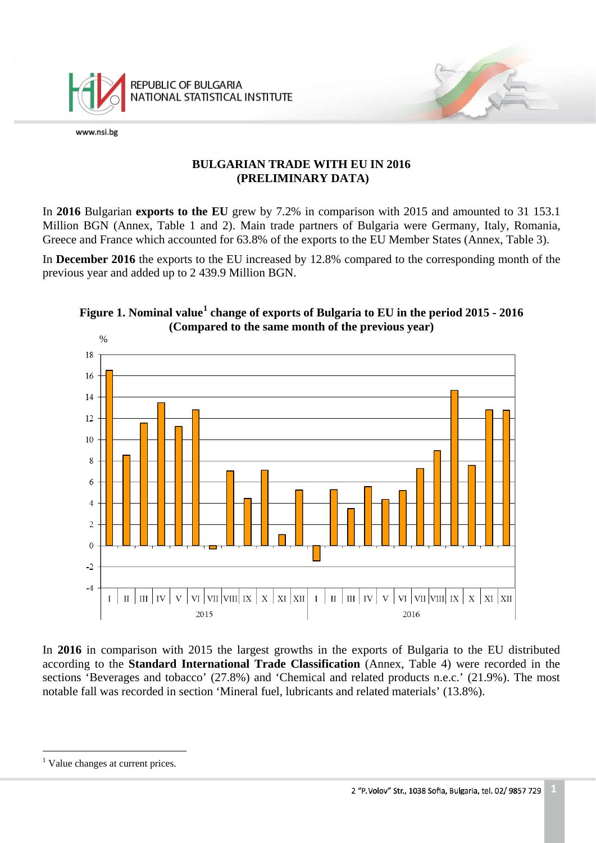

## **BULGARIAN TRADE WITH EU IN 2016 (PRELIMINARY DATA)**

In **2016** Bulgarian **exports to the EU** grew by 7.2% in comparison with 2015 and amounted to 31 153.1 Million BGN (Annex, Table 1 and 2). Main trade partners of Bulgaria were Germany, Italy, Romania, Greece and France which accounted for 63.8% of the exports to the EU Member States (Annex, Table 3).

In **December 2016** the exports to the EU increased by 12.8% compared to the corresponding month of the previous year and added up to 2 439.9 Million BGN.



# **Figure 1. Nominal value[1](#page-0-0) change of exports of Bulgaria to EU in the period 2015 - 2016 (Compared to the same month of the previous year)**

<span id="page-0-1"></span>In **2016** in comparison with 2015 the largest growths in the exports of Bulgaria to the EU distributed according to the **Standard International Trade Classification** (Annex, Table 4) were recorded in the sections 'Beverages and tobacco' (27.8%) and 'Chemical and related products n.e.c.' (21.9%). The most notable fall was recorded in section 'Mineral fuel, lubricants and related materials' (13.8%).

<span id="page-0-0"></span> $\overline{a}$ <sup>1</sup> Value changes at current prices.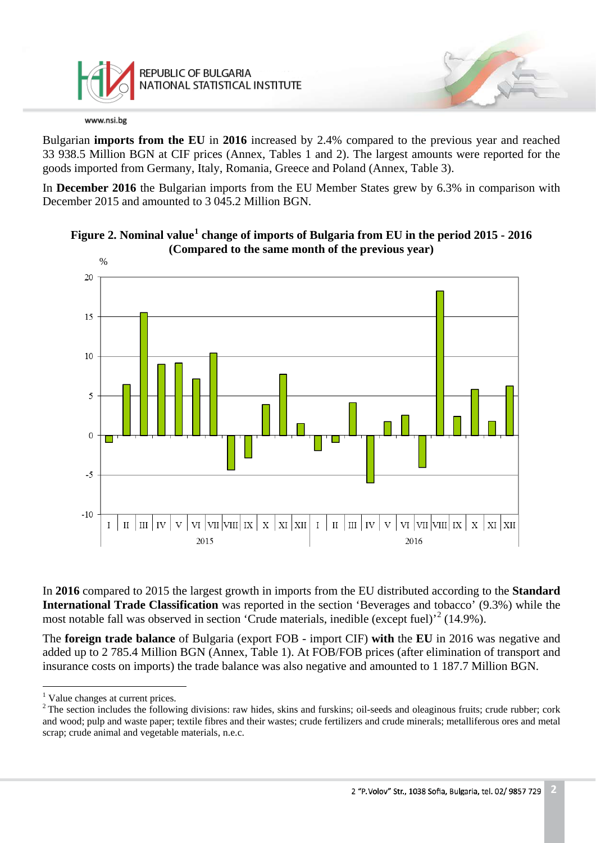

Bulgarian **imports from the EU** in **2016** increased by 2.4% compared to the previous year and reached 33 938.5 Million BGN at CIF prices (Annex, Tables 1 and 2). The largest amounts were reported for the goods imported from Germany, Italy, Romania, Greece and Poland (Annex, Table 3).

In **December 2016** the Bulgarian imports from the EU Member States grew by 6.3% in comparison with December 2015 and amounted to 3 045.2 Million BGN.





In **2016** compared to 2015 the largest growth in imports from the EU distributed according to the **Standard International Trade Classification** was reported in the section 'Beverages and tobacco' (9.3%) while the most notable fall was observed in section 'Crude materials, inedible (except fuel)'<sup>[2](#page-1-0)</sup> (14.9%).

The **foreign trade balance** of Bulgaria (export FOB - import CIF) **with** the **EU** in 2016 was negative and added up to 2 785.4 Million BGN (Annex, Table 1). At FOB/FOB prices (after elimination of transport and insurance costs on imports) the trade balance was also negative and amounted to 1 187.7 Million BGN.

 $\overline{a}$ <sup>1</sup> Value changes at current prices.

<span id="page-1-0"></span> $2$  The section includes the following divisions: raw hides, skins and furskins; oil-seeds and oleaginous fruits; crude rubber; cork and wood; pulp and waste paper; textile fibres and their wastes; crude fertilizers and crude minerals; metalliferous ores and metal scrap; crude animal and vegetable materials, n.e.c.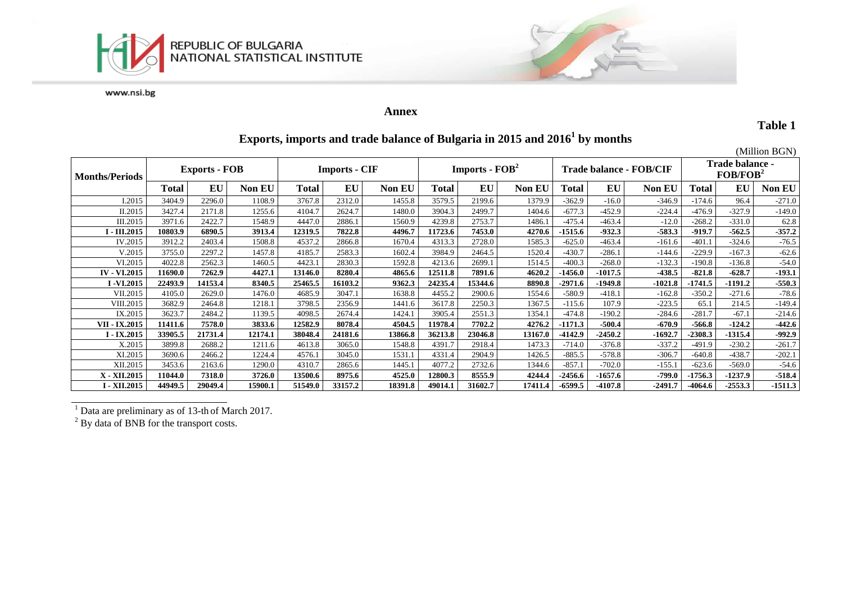



#### **Annex**

**Table 1**

# **Exports, imports and trade balance of Bulgaria in 2015 and 20161 by months**

|                       |                      |         |         |                      |         |               |                                    |         |         |                         |           |               |                                                |           | (Million BGN) |
|-----------------------|----------------------|---------|---------|----------------------|---------|---------------|------------------------------------|---------|---------|-------------------------|-----------|---------------|------------------------------------------------|-----------|---------------|
| <b>Months/Periods</b> | <b>Exports - FOB</b> |         |         | <b>Imports - CIF</b> |         |               | <b>Imports - <math>FOB2</math></b> |         |         | Trade balance - FOB/CIF |           |               | <b>Trade balance -</b><br>FOB/FOB <sup>2</sup> |           |               |
|                       | Total                | EU      | Non EU  | <b>Total</b>         | EU      | <b>Non EU</b> | Total                              | EU      | Non EU  | Total                   | EU        | <b>Non EU</b> | Total                                          | EU        | Non EU        |
| I.2015                | 3404.9               | 2296.0  | 1108.9  | 3767.8               | 2312.0  | 1455.8        | 3579.5                             | 2199.6  | 1379.9  | $-362.9$                | $-16.0$   | $-346.9$      | $-174.6$                                       | 96.4      | $-271.0$      |
| II.2015               | 3427.4               | 2171.8  | 1255.6  | 4104.7               | 2624.7  | 1480.0        | 3904.3                             | 2499.7  | 1404.6  | $-677.3$                | $-452.9$  | $-224.4$      | $-476.9$                                       | $-327.9$  | $-149.0$      |
| III.2015              | 3971.6               | 2422.7  | 1548.9  | 4447.0               | 2886.   | 1560.9        | 4239.8                             | 2753.7  | 1486.1  | $-475.4$                | $-463.4$  | $-12.0$       | $-268.2$                                       | $-331.0$  | 62.8          |
| <b>I</b> - III.2015   | 10803.9              | 6890.5  | 3913.4  | 12319.5              | 7822.8  | 4496.7        | 11723.6                            | 7453.0  | 4270.6  | $-1515.6$               | $-932.3$  | $-583.3$      | $-919.7$                                       | -562.5    | $-357.2$      |
| IV.2015               | 3912.2               | 2403.4  | 1508.8  | 4537.2               | 2866.8  | 1670.4        | 4313.3                             | 2728.0  | 1585.3  | $-625.0$                | $-463.4$  | $-161.6$      | $-401.1$                                       | $-324.6$  | $-76.5$       |
| V.2015                | 3755.0               | 2297.2  | 1457.8  | 4185.7               | 2583.3  | 1602.4        | 3984.9                             | 2464.5  | 1520.4  | $-430.7$                | $-286.1$  | $-144.6$      | $-229.9$                                       | $-167.3$  | $-62.6$       |
| VI.2015               | 4022.8               | 2562.3  | 1460.5  | 4423.1               | 2830.3  | 1592.8        | 4213.6                             | 2699.   | 1514.5  | $-400.3$                | $-268.0$  | $-132.3$      | $-190.8$                                       | $-136.8$  | $-54.0$       |
| <b>IV - VI.2015</b>   | 11690.0              | 7262.9  | 4427.1  | 13146.0              | 8280.4  | 4865.6        | 12511.8                            | 7891.6  | 4620.2  | $-1456.0$               | $-1017.5$ | -438.5        | $-821.8$                                       | $-628.7$  | $-193.1$      |
| I-VI.2015             | 22493.9              | 14153.4 | 8340.5  | 25465.5              | 16103.2 | 9362.3        | 24235.4                            | 15344.6 | 8890.8  | $-2971.6$               | $-1949.8$ | $-1021.8$     | -1741.5                                        | $-1191.2$ | $-550.3$      |
| VII.2015              | 4105.0               | 2629.0  | 1476.0  | 4685.9               | 3047.1  | 1638.8        | 4455.2                             | 2900.6  | 1554.6  | $-580.9$                | $-418.1$  | $-162.8$      | $-350.2$                                       | $-271.6$  | $-78.6$       |
| VIII.2015             | 3682.9               | 2464.8  | 1218.1  | 3798.5               | 2356.9  | 1441.6        | 3617.8                             | 2250.3  | 1367.5  | $-115.6$                | 107.9     | $-223.5$      | 65.1                                           | 214.5     | $-149.4$      |
| IX.2015               | 3623.7               | 2484.2  | 1139.5  | 4098.5               | 2674.4  | 1424.1        | 3905.4                             | 2551.3  | 1354.1  | $-474.8$                | $-190.2$  | $-284.6$      | $-281.7$                                       | $-67.1$   | $-214.6$      |
| VII - IX.2015         | 11411.6              | 7578.0  | 3833.6  | 12582.9              | 8078.4  | 4504.5        | 11978.4                            | 7702.2  | 4276.2  | $-1171.3$               | $-500.4$  | $-670.9$      | $-566.8$                                       | -124.2    | $-442.6$      |
| I - IX.2015           | 33905.5              | 21731.4 | 12174.1 | 38048.4              | 24181.6 | 13866.8       | 36213.8                            | 23046.8 | 13167.0 | -4142.9                 | $-2450.2$ | $-1692.7$     | $-2308.3$                                      | $-1315.4$ | $-992.9$      |
| X.2015                | 3899.8               | 2688.2  | 1211.6  | 4613.8               | 3065.0  | 1548.8        | 4391.7                             | 2918.4  | 1473.3  | $-714.0$                | $-376.8$  | $-337.2$      | $-491.9$                                       | $-230.2$  | $-261.7$      |
| XI.2015               | 3690.6               | 2466.2  | 1224.4  | 4576.1               | 3045.0  | 1531.1        | 4331.4                             | 2904.9  | 1426.5  | $-885.5$                | $-578.8$  | $-306.7$      | $-640.8$                                       | $-438.7$  | $-202.1$      |
| XII.2015              | 3453.6               | 2163.6  | 1290.0  | 4310.7               | 2865.6  | 1445.1        | 4077.2                             | 2732.6  | 1344.6  | $-857.1$                | $-702.0$  | $-155.1$      | $-623.6$                                       | $-569.0$  | $-54.6$       |
| X - XII.2015          | 11044.0              | 7318.0  | 3726.0  | 13500.6              | 8975.6  | 4525.0        | 12800.3                            | 8555.9  | 4244.4  | $-2456.6$               | $-1657.6$ | $-799.0$      | $-1756.3$                                      | $-1237.9$ | $-518.4$      |
| I - XII.2015          | 44949.5              | 29049.4 | 15900.1 | 51549.0              | 33157.2 | 18391.8       | 49014.1                            | 31602.7 | 17411.4 | $-6599.5$               | $-4107.8$ | -2491.7       | -4064.6                                        | $-2553.3$ | $-1511.3$     |

<sup>1</sup> Data are preliminary as of 13-th of March 2017.

 $2^2$  By data of BNB for the transport costs.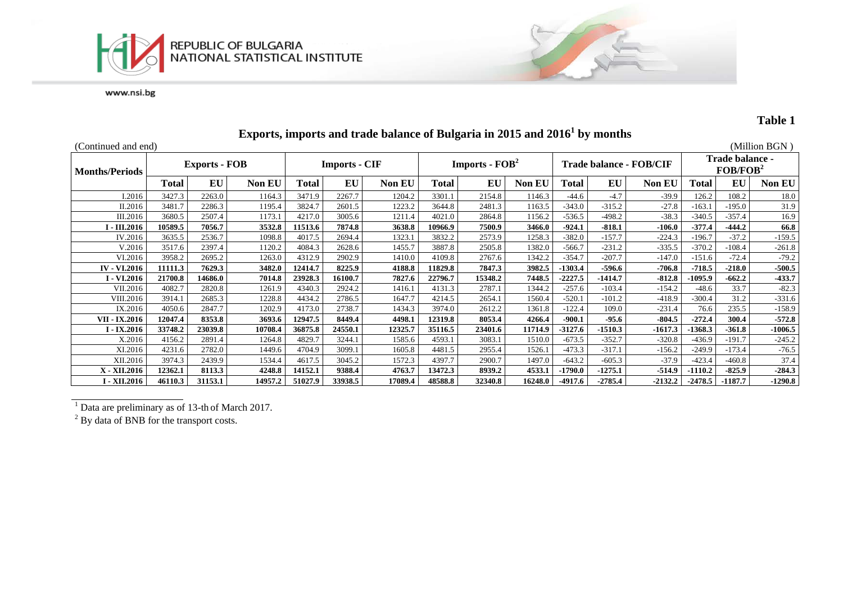



# **Table 1**

| (Continued and end)   |         |                      |               |                      |         |                                            |              |         |                                |           |           |                                                |           |           | (Million BGN) |
|-----------------------|---------|----------------------|---------------|----------------------|---------|--------------------------------------------|--------------|---------|--------------------------------|-----------|-----------|------------------------------------------------|-----------|-----------|---------------|
| <b>Months/Periods</b> |         | <b>Exports - FOB</b> |               | <b>Imports - CIF</b> |         | <b>Imports - <math>\text{FOB}^2</math></b> |              |         | <b>Trade balance - FOB/CIF</b> |           |           | <b>Trade balance -</b><br>FOB/FOB <sup>2</sup> |           |           |               |
|                       | Total   | EU                   | <b>Non EU</b> | Total                | EU      | <b>Non EU</b>                              | <b>Total</b> | EU      | <b>Non EU</b>                  | Total     | EU        | <b>Non EU</b>                                  | Total     | EU        | <b>Non EU</b> |
| I.2016                | 3427.3  | 2263.0               | 1164.3        | 3471.9               | 2267.7  | 1204.2                                     | 3301.1       | 2154.8  | 1146.3                         | $-44.6$   | $-4.7$    | $-39.9$                                        | 126.2     | 108.2     | 18.0          |
| II.2016               | 3481.7  | 2286.3               | 1195.4        | 3824.7               | 2601.5  | 1223.2                                     | 3644.8       | 2481.3  | 1163.5                         | $-343.0$  | $-315.2$  | $-27.8$                                        | $-163.1$  | $-195.0$  | 31.9          |
| III.2016              | 3680.5  | 2507.4               | 1173.1        | 4217.0               | 3005.6  | 1211.4                                     | 4021.0       | 2864.8  | 1156.2                         | $-536.5$  | $-498.2$  | $-38.3$                                        | $-340.5$  | $-357.4$  | 16.9          |
| $-III.2016$           | 10589.5 | 7056.7               | 3532.8        | 11513.6              | 7874.8  | 3638.8                                     | 10966.9      | 7500.9  | 3466.0                         | $-924.1$  | $-818.1$  | $-106.0$                                       | $-377.4$  | $-444.2$  | 66.8          |
| IV.2016               | 3635.5  | 2536.7               | 1098.8        | 4017.5               | 2694.4  | 1323.1                                     | 3832.2       | 2573.9  | 1258.3                         | $-382.0$  | $-157.7$  | $-224.3$                                       | $-196.7$  | $-37.2$   | $-159.5$      |
| V.2016                | 3517.6  | 2397.4               | 1120.2        | 4084.3               | 2628.6  | 1455.7                                     | 3887.8       | 2505.8  | 1382.0                         | $-566.7$  | $-231.2$  | $-335.5$                                       | $-370.2$  | $-108.4$  | $-261.8$      |
| VI.2016               | 3958.2  | 2695.2               | 1263.0        | 4312.9               | 2902.9  | 1410.0                                     | 4109.8       | 2767.6  | 1342.2                         | $-354.7$  | $-207.7$  | $-147.0$                                       | $-151.6$  | $-72.4$   | $-79.2$       |
| <b>IV - VI.2016</b>   | 11111.3 | 7629.3               | 3482.0        | 12414.7              | 8225.9  | 4188.8                                     | 11829.8      | 7847.3  | 3982.5                         | -1303.4   | $-596.6$  | $-706.8$                                       | $-718.5$  | $-218.0$  | -500.5        |
| I - VI.2016           | 21700.8 | 14686.0              | 7014.8        | 23928.3              | 16100.7 | 7827.6                                     | 22796.7      | 15348.2 | 7448.5                         | $-2227.5$ | -1414.7   | $-812.8$                                       | -1095.9   | $-662.2$  | -433.7        |
| VII.2016              | 4082.7  | 2820.8               | 1261.9        | 4340.3               | 2924.2  | 1416.1                                     | 4131.3       | 2787.1  | 1344.2                         | $-257.6$  | $-103.4$  | $-154.2$                                       | $-48.6$   | 33.7      | $-82.3$       |
| VIII.2016             | 3914.1  | 2685.3               | 1228.8        | 4434.2               | 2786.5  | 1647.7                                     | 4214.5       | 2654.1  | 1560.4                         | $-520.1$  | $-101.2$  | $-418.9$                                       | $-300.4$  | 31.2      | $-331.6$      |
| IX.2016               | 4050.6  | 2847.7               | 1202.9        | 4173.0               | 2738.7  | 1434.3                                     | 3974.0       | 2612.2  | 1361.8                         | $-122.4$  | 109.0     | $-231.4$                                       | 76.6      | 235.5     | $-158.9$      |
| VII - IX.2016         | 12047.4 | 8353.8               | 3693.6        | 12947.5              | 8449.4  | 4498.1                                     | 12319.8      | 8053.4  | 4266.4                         | $-900.1$  | $-95.6$   | $-804.5$                                       | $-272.4$  | 300.4     | $-572.8$      |
| $-IX.2016$            | 33748.2 | 23039.8              | 10708.4       | 36875.8              | 24550.1 | 12325.7                                    | 35116.5      | 23401.6 | 11714.9                        | $-3127.6$ | $-1510.3$ | $-1617.3$                                      | $-1368.3$ | $-361.8$  | $-1006.5$     |
| X.2016                | 4156.2  | 2891.4               | 1264.8        | 4829.7               | 3244.1  | 1585.6                                     | 4593.1       | 3083.1  | 1510.0                         | $-673.5$  | $-352.7$  | $-320.8$                                       | $-436.9$  | $-191.7$  | $-245.2$      |
| XI.2016               | 4231.6  | 2782.0               | 1449.6        | 4704.9               | 3099.1  | 1605.8                                     | 4481.5       | 2955.4  | 1526.1                         | $-473.3$  | $-317.1$  | $-156.2$                                       | $-249.9$  | $-173.4$  | $-76.5$       |
| XII.2016              | 3974.3  | 2439.9               | 1534.4        | 4617.5               | 3045.2  | 1572.3                                     | 4397.7       | 2900.7  | 1497.0                         | $-643.2$  | $-605.3$  | $-37.9$                                        | $-423.4$  | $-460.8$  | 37.4          |
| X - XII.2016          | 12362.1 | 8113.3               | 4248.8        | 14152.1              | 9388.4  | 4763.7                                     | 13472.3      | 8939.2  | 4533.1                         | -1790.0   | $-1275.1$ | $-514.9$                                       | $-1110.2$ | $-825.9$  | $-284.3$      |
| I - XII.2016          | 46110.3 | 31153.1              | 14957.2       | 51027.9              | 33938.5 | 17089.4                                    | 48588.8      | 32340.8 | 16248.0                        | $-4917.6$ | $-2785.4$ | $-2132.2$                                      | $-2478.5$ | $-1187.7$ | -1290.8       |

# **Exports, imports and trade balance of Bulgaria in 2015 and 20161 by months**

 $1$  Data are preliminary as of 13-th of March 2017.

 $2^2$  By data of BNB for the transport costs.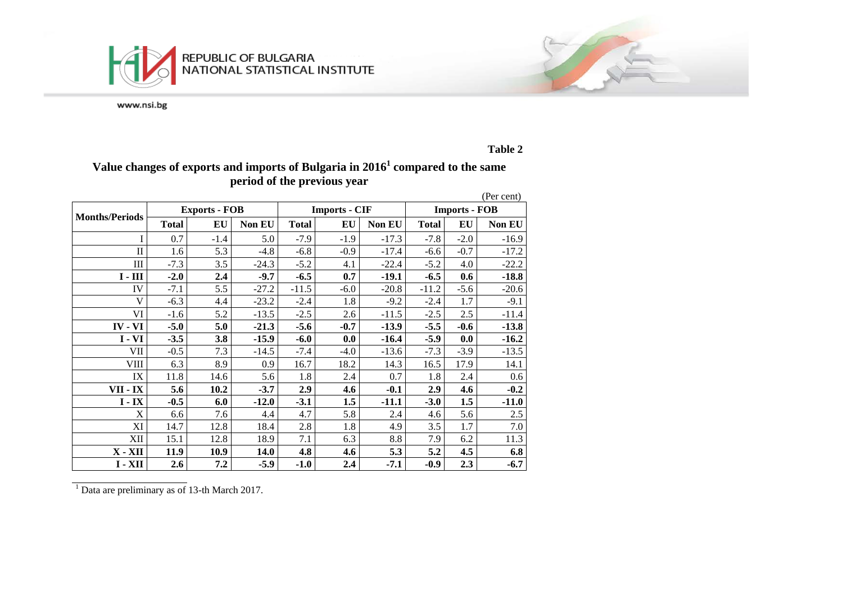



**Table 2**

# **Value changes of exports and imports of Bulgaria in 20161 compared to the same period of the previous year**

|                       |              |                      |               |              |                      |               |              |                      | (Per cent)    |
|-----------------------|--------------|----------------------|---------------|--------------|----------------------|---------------|--------------|----------------------|---------------|
|                       |              | <b>Exports - FOB</b> |               |              | <b>Imports - CIF</b> |               |              | <b>Imports - FOB</b> |               |
| <b>Months/Periods</b> | <b>Total</b> | EU                   | <b>Non EU</b> | <b>Total</b> | EU                   | <b>Non EU</b> | <b>Total</b> | EU                   | <b>Non EU</b> |
| I                     | 0.7          | $-1.4$               | 5.0           | $-7.9$       | $-1.9$               | $-17.3$       | $-7.8$       | $-2.0$               | $-16.9$       |
| $\mathbf{I}$          | 1.6          | 5.3                  | $-4.8$        | $-6.8$       | $-0.9$               | $-17.4$       | $-6.6$       | $-0.7$               | $-17.2$       |
| III                   | $-7.3$       | 3.5                  | $-24.3$       | $-5.2$       | 4.1                  | $-22.4$       | $-5.2$       | 4.0                  | $-22.2$       |
| $I - III$             | $-2.0$       | 2.4                  | $-9.7$        | $-6.5$       | 0.7                  | $-19.1$       | $-6.5$       | 0.6                  | $-18.8$       |
| IV                    | $-7.1$       | 5.5                  | $-27.2$       | $-11.5$      | $-6.0$               | $-20.8$       | $-11.2$      | $-5.6$               | $-20.6$       |
| V                     | $-6.3$       | 4.4                  | $-23.2$       | $-2.4$       | 1.8                  | $-9.2$        | $-2.4$       | 1.7                  | $-9.1$        |
| VI                    | $-1.6$       | 5.2                  | $-13.5$       | $-2.5$       | 2.6                  | $-11.5$       | $-2.5$       | 2.5                  | $-11.4$       |
| IV - VI               | $-5.0$       | 5.0                  | $-21.3$       | $-5.6$       | $-0.7$               | $-13.9$       | $-5.5$       | $-0.6$               | $-13.8$       |
| $I - VI$              | $-3.5$       | 3.8                  | $-15.9$       | $-6.0$       | 0.0                  | $-16.4$       | $-5.9$       | 0.0                  | $-16.2$       |
| VII                   | $-0.5$       | 7.3                  | $-14.5$       | $-7.4$       | $-4.0$               | $-13.6$       | $-7.3$       | $-3.9$               | $-13.5$       |
| <b>VIII</b>           | 6.3          | 8.9                  | 0.9           | 16.7         | 18.2                 | 14.3          | 16.5         | 17.9                 | 14.1          |
| IX                    | 11.8         | 14.6                 | 5.6           | 1.8          | 2.4                  | 0.7           | 1.8          | 2.4                  | 0.6           |
| VII - IX              | 5.6          | 10.2                 | $-3.7$        | 2.9          | 4.6                  | $-0.1$        | 2.9          | 4.6                  | $-0.2$        |
| $I - IX$              | $-0.5$       | 6.0                  | $-12.0$       | $-3.1$       | 1.5                  | $-11.1$       | $-3.0$       | 1.5                  | $-11.0$       |
| X                     | 6.6          | 7.6                  | 4.4           | 4.7          | 5.8                  | 2.4           | 4.6          | 5.6                  | 2.5           |
| XI                    | 14.7         | 12.8                 | 18.4          | 2.8          | 1.8                  | 4.9           | 3.5          | 1.7                  | 7.0           |
| XII                   | 15.1         | 12.8                 | 18.9          | 7.1          | 6.3                  | 8.8           | 7.9          | 6.2                  | 11.3          |
| $X - XII$             | 11.9         | 10.9                 | 14.0          | 4.8          | 4.6                  | 5.3           | 5.2          | 4.5                  | 6.8           |
| $I - XII$             | 2.6          | 7.2                  | $-5.9$        | $-1.0$       | 2.4                  | $-7.1$        | $-0.9$       | 2.3                  | $-6.7$        |

<sup>1</sup> Data are preliminary as of 13-th March 2017.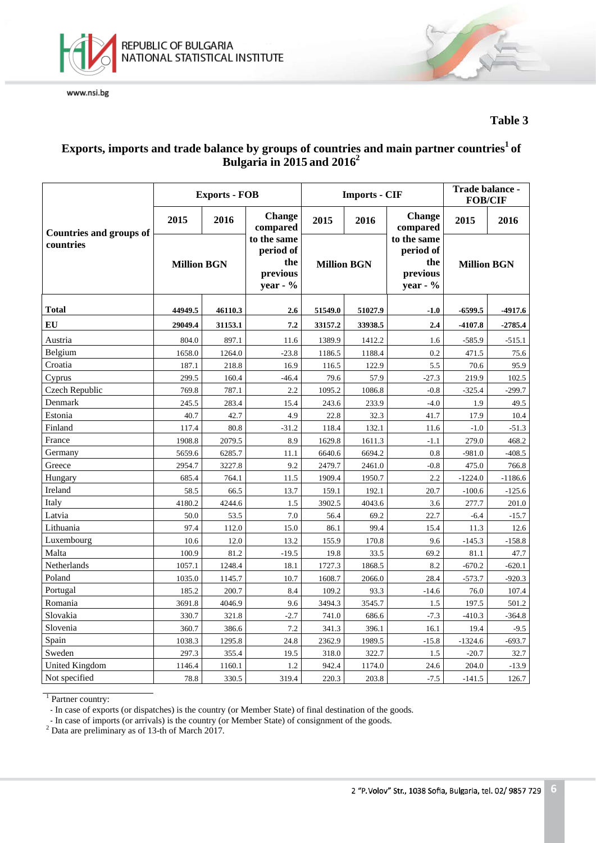



### **Table 3**

## $\boldsymbol{\mathrm{Exports}}$ , imports and trade balance by groups of countries and main partner countries $^1$  of **Bulgaria in 2015 and 20162**

|                                |                    | <b>Exports - FOB</b> |                                                         |         | <b>Imports - CIF</b> | Trade balance -<br><b>FOB/CIF</b>                       |                    |           |
|--------------------------------|--------------------|----------------------|---------------------------------------------------------|---------|----------------------|---------------------------------------------------------|--------------------|-----------|
| <b>Countries and groups of</b> | 2015               | 2016                 | <b>Change</b><br>compared                               | 2015    | 2016                 | <b>Change</b><br>compared                               | 2015               | 2016      |
| countries                      | <b>Million BGN</b> |                      | to the same<br>period of<br>the<br>previous<br>year - % |         | <b>Million BGN</b>   | to the same<br>period of<br>the<br>previous<br>year - % | <b>Million BGN</b> |           |
| <b>Total</b>                   | 44949.5            | 46110.3              | 2.6                                                     | 51549.0 | 51027.9              | $-1.0$                                                  | $-6599.5$          | $-4917.6$ |
| EU                             | 29049.4            | 31153.1              | 7.2                                                     | 33157.2 | 33938.5              | 2.4                                                     | $-4107.8$          | $-2785.4$ |
| Austria                        | 804.0              | 897.1                | 11.6                                                    | 1389.9  | 1412.2               | 1.6                                                     | $-585.9$           | $-515.1$  |
| Belgium                        | 1658.0             | 1264.0               | $-23.8$                                                 | 1186.5  | 1188.4               | 0.2                                                     | 471.5              | 75.6      |
| Croatia                        | 187.1              | 218.8                | 16.9                                                    | 116.5   | 122.9                | 5.5                                                     | 70.6               | 95.9      |
| Cyprus                         | 299.5              | 160.4                | $-46.4$                                                 | 79.6    | 57.9                 | $-27.3$                                                 | 219.9              | 102.5     |
| Czech Republic                 | 769.8              | 787.1                | 2.2                                                     | 1095.2  | 1086.8               | $-0.8$                                                  | $-325.4$           | $-299.7$  |
| Denmark                        | 245.5              | 283.4                | 15.4                                                    | 243.6   | 233.9                | $-4.0$                                                  | 1.9                | 49.5      |
| Estonia                        | 40.7               | 42.7                 | 4.9                                                     | 22.8    | 32.3                 | 41.7                                                    | 17.9               | 10.4      |
| Finland                        | 117.4              | 80.8                 | $-31.2$                                                 | 118.4   | 132.1                | 11.6                                                    | $-1.0$             | $-51.3$   |
| France                         | 1908.8             | 2079.5               | 8.9                                                     | 1629.8  | 1611.3               | $-1.1$                                                  | 279.0              | 468.2     |
| Germany                        | 5659.6             | 6285.7               | 11.1                                                    | 6640.6  | 6694.2               | 0.8                                                     | $-981.0$           | $-408.5$  |
| Greece                         | 2954.7             | 3227.8               | 9.2                                                     | 2479.7  | 2461.0               | $-0.8$                                                  | 475.0              | 766.8     |
| Hungary                        | 685.4              | 764.1                | 11.5                                                    | 1909.4  | 1950.7               | 2.2                                                     | $-1224.0$          | $-1186.6$ |
| Ireland                        | 58.5               | 66.5                 | 13.7                                                    | 159.1   | 192.1                | 20.7                                                    | $-100.6$           | $-125.6$  |
| Italy                          | 4180.2             | 4244.6               | 1.5                                                     | 3902.5  | 4043.6               | 3.6                                                     | 277.7              | 201.0     |
| Latvia                         | 50.0               | 53.5                 | 7.0                                                     | 56.4    | 69.2                 | 22.7                                                    | $-6.4$             | $-15.7$   |
| Lithuania                      | 97.4               | 112.0                | 15.0                                                    | 86.1    | 99.4                 | 15.4                                                    | 11.3               | 12.6      |
| Luxembourg                     | 10.6               | 12.0                 | 13.2                                                    | 155.9   | 170.8                | 9.6                                                     | $-145.3$           | $-158.8$  |
| Malta                          | 100.9              | 81.2                 | $-19.5$                                                 | 19.8    | 33.5                 | 69.2                                                    | 81.1               | 47.7      |
| Netherlands                    | 1057.1             | 1248.4               | 18.1                                                    | 1727.3  | 1868.5               | 8.2                                                     | $-670.2$           | $-620.1$  |
| Poland                         | 1035.0             | 1145.7               | 10.7                                                    | 1608.7  | 2066.0               | 28.4                                                    | $-573.7$           | $-920.3$  |
| Portugal                       | 185.2              | 200.7                | 8.4                                                     | 109.2   | 93.3                 | $-14.6$                                                 | 76.0               | 107.4     |
| Romania                        | 3691.8             | 4046.9               | 9.6                                                     | 3494.3  | 3545.7               | 1.5                                                     | 197.5              | 501.2     |
| Slovakia                       | 330.7              | 321.8                | $-2.7$                                                  | 741.0   | 686.6                | $-7.3$                                                  | $-410.3$           | $-364.8$  |
| Slovenia                       | 360.7              | 386.6                | 7.2                                                     | 341.3   | 396.1                | 16.1                                                    | 19.4               | $-9.5$    |
| Spain                          | 1038.3             | 1295.8               | 24.8                                                    | 2362.9  | 1989.5               | $-15.8$                                                 | $-1324.6$          | $-693.7$  |
| Sweden                         | 297.3              | 355.4                | 19.5                                                    | 318.0   | 322.7                | 1.5                                                     | $-20.7$            | 32.7      |
| <b>United Kingdom</b>          | 1146.4             | 1160.1               | 1.2                                                     | 942.4   | 1174.0               | 24.6                                                    | 204.0              | $-13.9$   |
| Not specified                  | 78.8               | 330.5                | 319.4                                                   | 220.3   | 203.8                | $-7.5$                                                  | $-141.5$           | 126.7     |

<sup>1</sup> Partner country:

- In case of exports (or dispatches) is the country (or Member State) of final destination of the goods.

- In case of imports (or arrivals) is the country (or Member State) of consignment of the goods. <sup>2</sup> Data are preliminary as of 13-th of March 2017.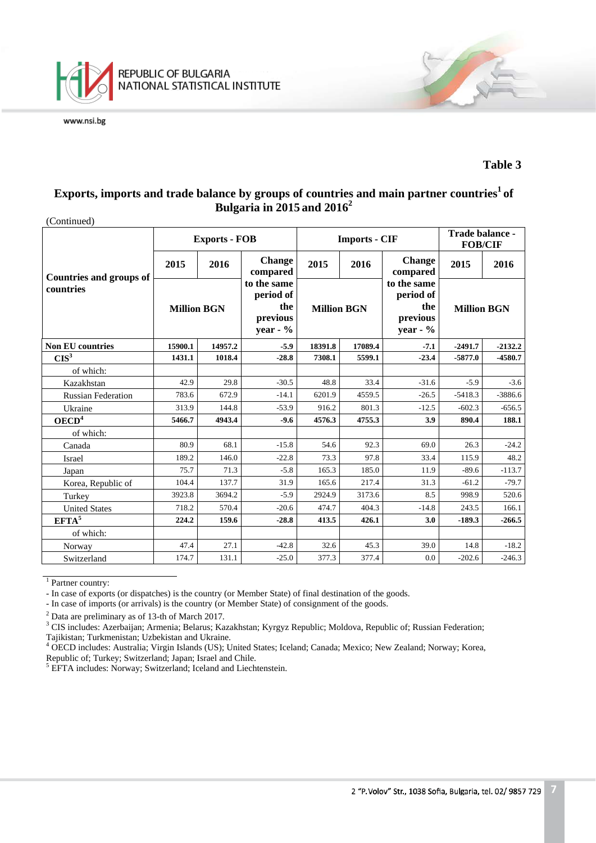

#### **Table 3**

# $\boldsymbol{\mathrm{Exports}},$  imports and trade balance by groups of countries and main partner countries $^1$  of **Bulgaria in 2015 and 20162**

| (Continued)                                 |                    |                      |                                                         |                    |                      |                                                            |                    |           |
|---------------------------------------------|--------------------|----------------------|---------------------------------------------------------|--------------------|----------------------|------------------------------------------------------------|--------------------|-----------|
|                                             |                    | <b>Exports - FOB</b> |                                                         |                    | <b>Imports - CIF</b> | Trade balance -<br><b>FOB/CIF</b>                          |                    |           |
|                                             | 2015               | 2016                 | <b>Change</b><br>compared                               | 2015<br>2016       |                      | <b>Change</b><br>compared                                  | 2015               | 2016      |
| <b>Countries and groups of</b><br>countries | <b>Million BGN</b> |                      | to the same<br>period of<br>the<br>previous<br>year - % | <b>Million BGN</b> |                      | to the same<br>period of<br>the<br>previous<br>year - $\%$ | <b>Million BGN</b> |           |
| <b>Non EU countries</b>                     | 15900.1<br>14957.2 |                      | $-5.9$                                                  | 18391.8            | 17089.4              | $-7.1$                                                     | $-2491.7$          | $-2132.2$ |
| $CIS^3$                                     | 1431.1             | 1018.4               | $-28.8$                                                 | 7308.1             | 5599.1               | $-23.4$                                                    | $-5877.0$          | $-4580.7$ |
| of which:                                   |                    |                      |                                                         |                    |                      |                                                            |                    |           |
| Kazakhstan                                  | 42.9               | 29.8                 | $-30.5$                                                 | 48.8               | 33.4                 | $-31.6$                                                    | $-5.9$             | $-3.6$    |
| <b>Russian Federation</b>                   | 783.6              | 672.9                | $-14.1$                                                 | 6201.9             | 4559.5               | $-26.5$                                                    | $-5418.3$          | $-3886.6$ |
| Ukraine                                     | 313.9              | 144.8                | $-53.9$                                                 | 916.2              | 801.3                | $-12.5$                                                    | $-602.3$           | $-656.5$  |
| OECD <sup>4</sup>                           | 5466.7             | 4943.4               | $-9.6$                                                  | 4576.3             | 4755.3               | 3.9                                                        | 890.4              | 188.1     |
| of which:                                   |                    |                      |                                                         |                    |                      |                                                            |                    |           |
| Canada                                      | 80.9               | 68.1                 | $-15.8$                                                 | 54.6               | 92.3                 | 69.0                                                       | 26.3               | $-24.2$   |
| Israel                                      | 189.2              | 146.0                | $-22.8$                                                 | 73.3               | 97.8                 | 33.4                                                       | 115.9              | 48.2      |
| Japan                                       | 75.7               | 71.3                 | $-5.8$                                                  | 165.3              | 185.0                | 11.9                                                       | $-89.6$            | $-113.7$  |
| Korea, Republic of                          | 104.4              | 137.7                | 31.9                                                    | 165.6              | 217.4                | 31.3                                                       | $-61.2$            | $-79.7$   |
| Turkey                                      | 3923.8             | 3694.2               | $-5.9$                                                  | 2924.9             | 3173.6               | 8.5                                                        | 998.9              | 520.6     |
| <b>United States</b>                        | 718.2              | 570.4                | $-20.6$                                                 | 474.7              | 404.3                | $-14.8$                                                    | 243.5              | 166.1     |
| EFTA <sup>5</sup>                           | 224.2              | 159.6                | $-28.8$                                                 | 413.5              | 426.1                | 3.0                                                        | $-189.3$           | $-266.5$  |
| of which:                                   |                    |                      |                                                         |                    |                      |                                                            |                    |           |
| Norway                                      | 47.4               | 27.1                 | $-42.8$                                                 | 32.6               | 45.3                 | 39.0                                                       | 14.8               | $-18.2$   |
| Switzerland                                 | 174.7              | 131.1                | $-25.0$                                                 | 377.3              | 377.4                | 0.0                                                        | $-202.6$           | $-246.3$  |

 $1$  Partner country:

- In case of exports (or dispatches) is the country (or Member State) of final destination of the goods.

- In case of imports (or arrivals) is the country (or Member State) of consignment of the goods.

<sup>2</sup> Data are preliminary as of 13-th of March 2017.<br><sup>3</sup> CIS includes: Azerbaijan; Armenia; Belarus; Kazakhstan; Kyrgyz Republic; Moldova, Republic of; Russian Federation; Tajikistan; Turkmenistan; Uzbekistan and Ukraine.

<sup>4</sup> OECD includes: Australia; Virgin Islands (US); United States; Iceland; Canada; Mexico; New Zealand; Norway; Korea, Republic of; Turkey; Switzerland; Japan; Israel and Chile.

<sup>5</sup> EFTA includes: Norway; Switzerland; Iceland and Liechtenstein.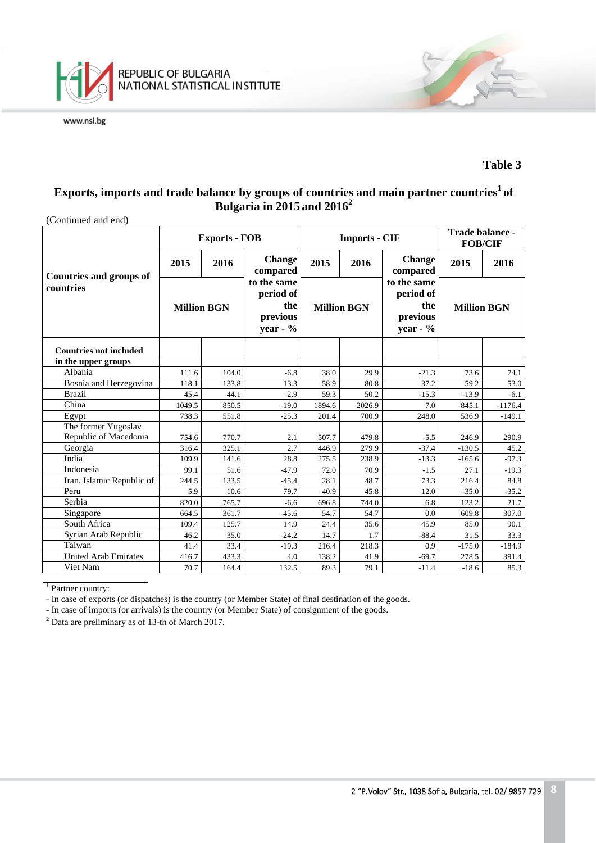

#### **Table 3**

### $\boldsymbol{\mathrm{Exports}},$  imports and trade balance by groups of countries and main partner countries $^1$  of **Bulgaria in 2015 and 20162**

|                                |                    | <b>Exports - FOB</b> |                                                           |                    | <b>Imports - CIF</b> | Trade balance -<br><b>FOB/CIF</b>                         |                    |           |
|--------------------------------|--------------------|----------------------|-----------------------------------------------------------|--------------------|----------------------|-----------------------------------------------------------|--------------------|-----------|
| <b>Countries and groups of</b> | 2015               | 2016                 | <b>Change</b><br>compared                                 | 2015               | 2016                 | <b>Change</b><br>compared                                 | 2015               | 2016      |
| countries                      | <b>Million BGN</b> |                      | to the same<br>period of<br>the<br>previous<br>year - $%$ | <b>Million BGN</b> |                      | to the same<br>period of<br>the<br>previous<br>year - $%$ | <b>Million BGN</b> |           |
| <b>Countries not included</b>  |                    |                      |                                                           |                    |                      |                                                           |                    |           |
| in the upper groups            |                    |                      |                                                           |                    |                      |                                                           |                    |           |
| Albania                        | 111.6              | 104.0                | $-6.8$                                                    | 38.0               | 29.9                 | $-21.3$                                                   | 73.6               | 74.1      |
| Bosnia and Herzegovina         | 118.1              | 133.8                | 13.3                                                      | 58.9               | 80.8                 | 37.2                                                      | 59.2               | 53.0      |
| <b>Brazil</b>                  | 45.4               | 44.1                 | $-2.9$                                                    | 59.3               | 50.2                 | $-15.3$                                                   | $-13.9$            | $-6.1$    |
| China                          | 1049.5             | 850.5                | $-19.0$                                                   | 1894.6             | 2026.9               | 7.0                                                       | $-845.1$           | $-1176.4$ |
| Egypt                          | 738.3              | 551.8                | $-25.3$                                                   | 201.4              | 700.9                | 248.0                                                     | 536.9              | $-149.1$  |
| The former Yugoslav            |                    |                      |                                                           |                    |                      |                                                           |                    |           |
| Republic of Macedonia          | 754.6              | 770.7                | 2.1                                                       | 507.7              | 479.8                | $-5.5$                                                    | 246.9              | 290.9     |
| Georgia                        | 316.4              | 325.1                | 2.7                                                       | 446.9              | 279.9                | $-37.4$                                                   | $-130.5$           | 45.2      |
| India                          | 109.9              | 141.6                | 28.8                                                      | 275.5              | 238.9                | $-13.3$                                                   | $-165.6$           | $-97.3$   |
| Indonesia                      | 99.1               | 51.6                 | $-47.9$                                                   | 72.0               | 70.9                 | $-1.5$                                                    | 27.1               | $-19.3$   |
| Iran, Islamic Republic of      | 244.5              | 133.5                | $-45.4$                                                   | 28.1               | 48.7                 | 73.3                                                      | 216.4              | 84.8      |
| Peru                           | 5.9                | 10.6                 | 79.7                                                      | 40.9               | 45.8                 | 12.0                                                      | $-35.0$            | $-35.2$   |
| Serbia                         | 820.0              | 765.7                | $-6.6$                                                    | 696.8              | 744.0                | 6.8                                                       | 123.2              | 21.7      |
| Singapore                      | 664.5              | 361.7                | $-45.6$                                                   | 54.7               | 54.7                 | 0.0                                                       | 609.8              | 307.0     |
| South Africa                   | 109.4              | 125.7                | 14.9                                                      | 24.4               | 35.6                 | 45.9                                                      | 85.0               | 90.1      |
| Syrian Arab Republic           | 46.2               | 35.0                 | $-24.2$                                                   | 14.7               | 1.7                  | $-88.4$                                                   | 31.5               | 33.3      |
| Taiwan                         | 41.4               | 33.4                 | $-19.3$                                                   | 216.4              | 218.3                | 0.9                                                       | $-175.0$           | $-184.9$  |
| United Arab Emirates           | 416.7              | 433.3                | 4.0                                                       | 138.2              | 41.9                 | $-69.7$                                                   | 278.5              | 391.4     |
| Viet Nam                       | 70.7               | 164.4                | 132.5                                                     | 89.3               | 79.1                 | $-11.4$                                                   | $-18.6$            | 85.3      |

(Continued and end)

<sup>1</sup> Partner country:

- In case of exports (or dispatches) is the country (or Member State) of final destination of the goods.

- In case of imports (or arrivals) is the country (or Member State) of consignment of the goods.

<sup>2</sup> Data are preliminary as of 13-th of March 2017.